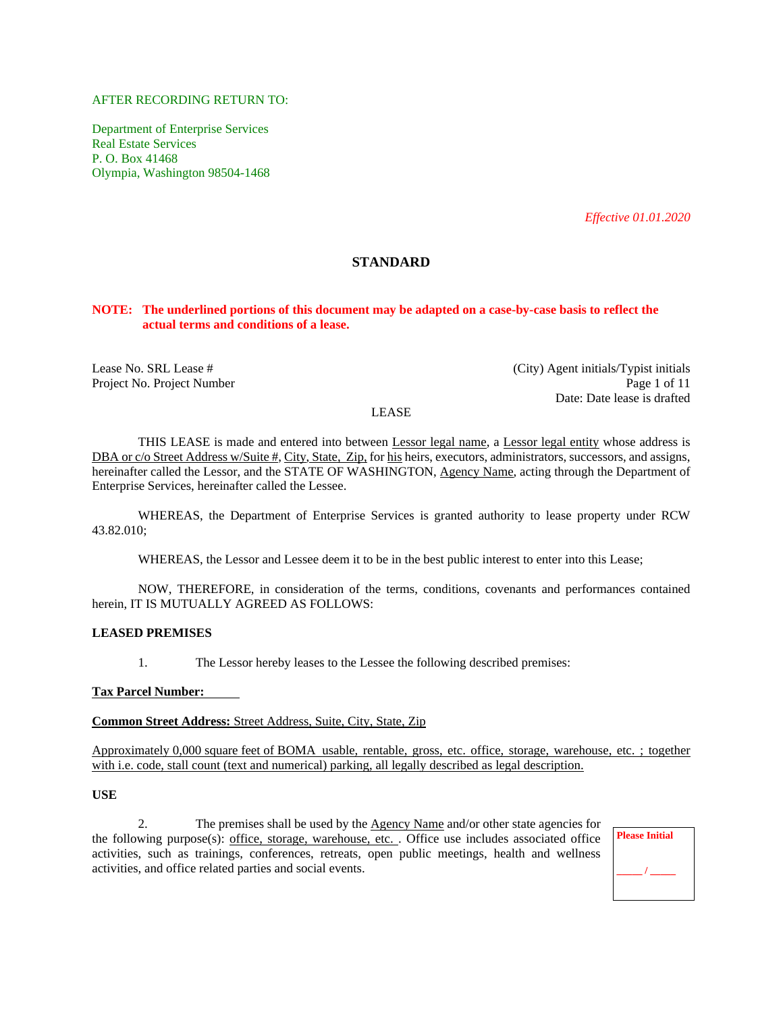# AFTER RECORDING RETURN TO:

Department of Enterprise Services Real Estate Services P. O. Box 41468 Olympia, Washington 98504-1468

*Effective 01.01.2020*

# **STANDARD**

#### **NOTE: The underlined portions of this document may be adapted on a case-by-case basis to reflect the actual terms and conditions of a lease.**

Lease No. SRL Lease # (City) Agent initials/Typist initials Project No. Project Number Page 1 of 11 Date: Date lease is drafted

#### LEASE

THIS LEASE is made and entered into between Lessor legal name, a Lessor legal entity whose address is DBA or c/o Street Address w/Suite #, City, State, Zip, for his heirs, executors, administrators, successors, and assigns, hereinafter called the Lessor, and the STATE OF WASHINGTON, Agency Name, acting through the Department of Enterprise Services, hereinafter called the Lessee.

WHEREAS, the Department of Enterprise Services is granted authority to lease property under RCW 43.82.010;

WHEREAS, the Lessor and Lessee deem it to be in the best public interest to enter into this Lease;

NOW, THEREFORE, in consideration of the terms, conditions, covenants and performances contained herein, IT IS MUTUALLY AGREED AS FOLLOWS:

# **LEASED PREMISES**

1. The Lessor hereby leases to the Lessee the following described premises:

#### **Tax Parcel Number:**

**Common Street Address:** Street Address, Suite, City, State, Zip

Approximately 0,000 square feet of BOMA usable, rentable, gross, etc. office, storage, warehouse, etc. ; together with i.e. code, stall count (text and numerical) parking, all legally described as legal description.

# **USE**

2. The premises shall be used by the Agency Name and/or other state agencies for the following purpose(s): office, storage, warehouse, etc. . Office use includes associated office activities, such as trainings, conferences, retreats, open public meetings, health and wellness activities, and office related parties and social events.

**Please Initial**  $\prime$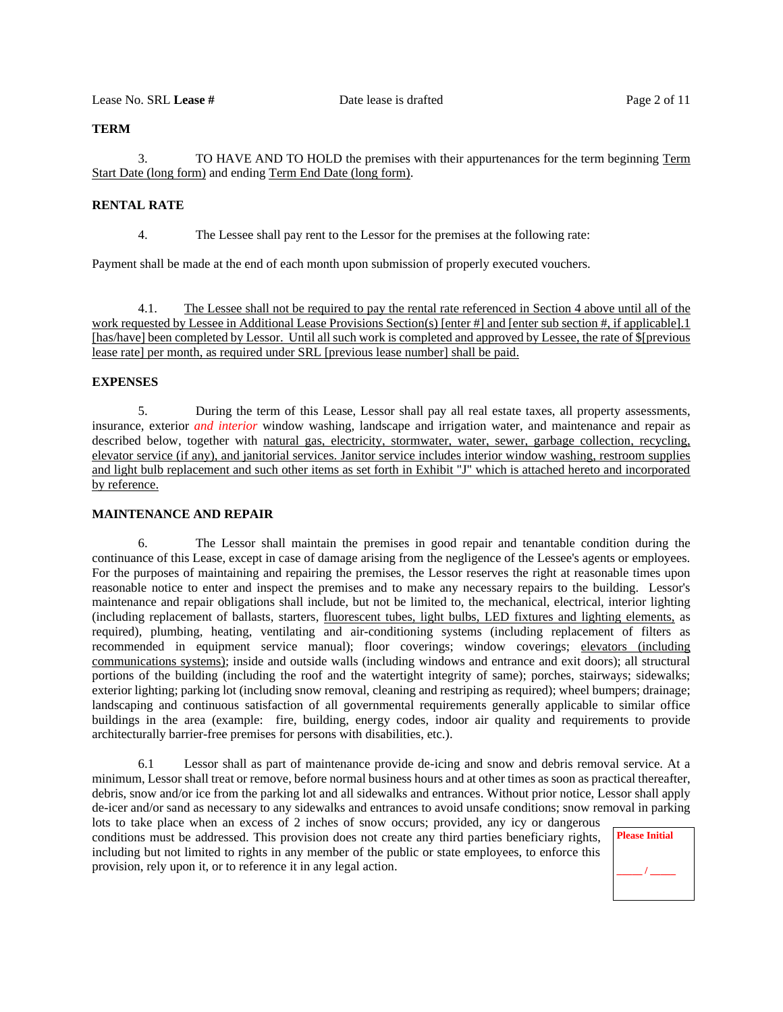# **TERM**

3. TO HAVE AND TO HOLD the premises with their appurtenances for the term beginning Term Start Date (long form) and ending Term End Date (long form).

# **RENTAL RATE**

4. The Lessee shall pay rent to the Lessor for the premises at the following rate:

Payment shall be made at the end of each month upon submission of properly executed vouchers.

4.1. The Lessee shall not be required to pay the rental rate referenced in Section 4 above until all of the work requested by Lessee in Additional Lease Provisions Section(s) [enter #] and [enter sub section #, if applicable].1 [has/have] been completed by Lessor. Until all such work is completed and approved by Lessee, the rate of \$[previous lease rate] per month, as required under SRL [previous lease number] shall be paid.

### **EXPENSES**

5. During the term of this Lease, Lessor shall pay all real estate taxes, all property assessments, insurance, exterior *and interior* window washing, landscape and irrigation water, and maintenance and repair as described below, together with natural gas, electricity, stormwater, water, sewer, garbage collection, recycling, elevator service (if any), and janitorial services. Janitor service includes interior window washing, restroom supplies and light bulb replacement and such other items as set forth in Exhibit "J" which is attached hereto and incorporated by reference.

#### **MAINTENANCE AND REPAIR**

6. The Lessor shall maintain the premises in good repair and tenantable condition during the continuance of this Lease, except in case of damage arising from the negligence of the Lessee's agents or employees. For the purposes of maintaining and repairing the premises, the Lessor reserves the right at reasonable times upon reasonable notice to enter and inspect the premises and to make any necessary repairs to the building. Lessor's maintenance and repair obligations shall include, but not be limited to, the mechanical, electrical, interior lighting (including replacement of ballasts, starters, fluorescent tubes, light bulbs, LED fixtures and lighting elements, as required), plumbing, heating, ventilating and air-conditioning systems (including replacement of filters as recommended in equipment service manual); floor coverings; window coverings; elevators (including communications systems); inside and outside walls (including windows and entrance and exit doors); all structural portions of the building (including the roof and the watertight integrity of same); porches, stairways; sidewalks; exterior lighting; parking lot (including snow removal, cleaning and restriping as required); wheel bumpers; drainage; landscaping and continuous satisfaction of all governmental requirements generally applicable to similar office buildings in the area (example: fire, building, energy codes, indoor air quality and requirements to provide architecturally barrier-free premises for persons with disabilities, etc.).

6.1 Lessor shall as part of maintenance provide de-icing and snow and debris removal service. At a minimum, Lessor shall treat or remove, before normal business hours and at other times as soon as practical thereafter, debris, snow and/or ice from the parking lot and all sidewalks and entrances. Without prior notice, Lessor shall apply de-icer and/or sand as necessary to any sidewalks and entrances to avoid unsafe conditions; snow removal in parking

lots to take place when an excess of 2 inches of snow occurs; provided, any icy or dangerous conditions must be addressed. This provision does not create any third parties beneficiary rights, including but not limited to rights in any member of the public or state employees, to enforce this provision, rely upon it, or to reference it in any legal action.

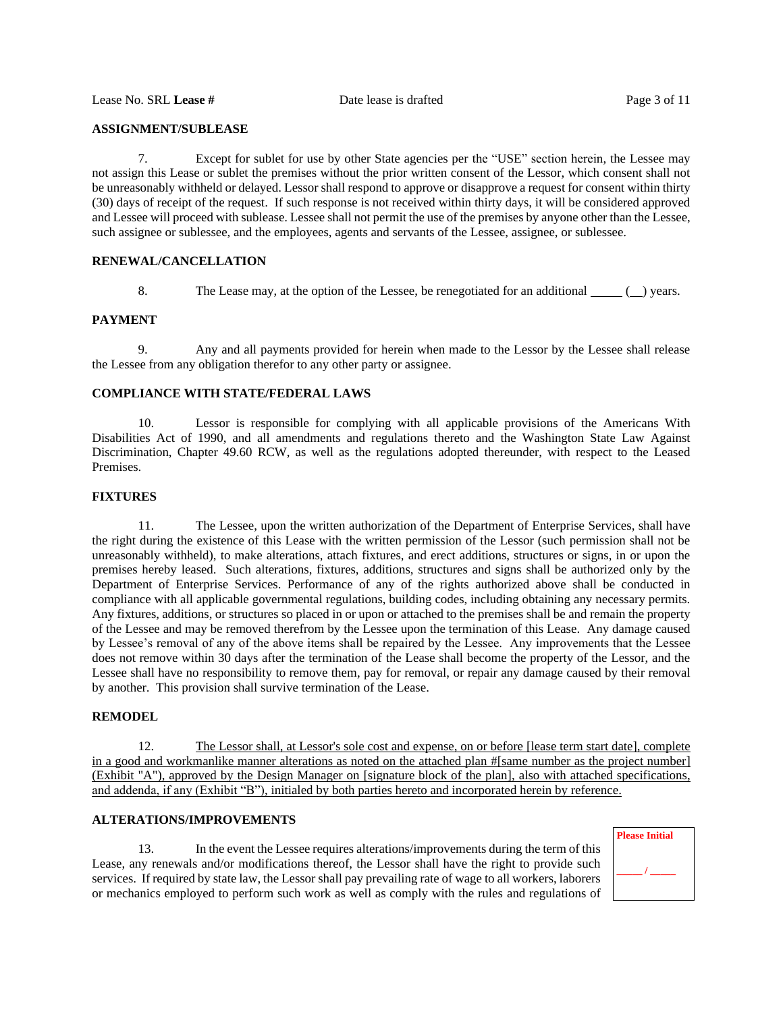# **ASSIGNMENT/SUBLEASE**

7. Except for sublet for use by other State agencies per the "USE" section herein, the Lessee may not assign this Lease or sublet the premises without the prior written consent of the Lessor, which consent shall not be unreasonably withheld or delayed. Lessor shall respond to approve or disapprove a request for consent within thirty (30) days of receipt of the request. If such response is not received within thirty days, it will be considered approved and Lessee will proceed with sublease. Lessee shall not permit the use of the premises by anyone other than the Lessee, such assignee or sublessee, and the employees, agents and servants of the Lessee, assignee, or sublessee.

# **RENEWAL/CANCELLATION**

8. The Lease may, at the option of the Lessee, be renegotiated for an additional ( ) years.

# **PAYMENT**

9. Any and all payments provided for herein when made to the Lessor by the Lessee shall release the Lessee from any obligation therefor to any other party or assignee.

# **COMPLIANCE WITH STATE/FEDERAL LAWS**

10. Lessor is responsible for complying with all applicable provisions of the Americans With Disabilities Act of 1990, and all amendments and regulations thereto and the Washington State Law Against Discrimination, Chapter 49.60 RCW, as well as the regulations adopted thereunder, with respect to the Leased Premises.

#### **FIXTURES**

11. The Lessee, upon the written authorization of the Department of Enterprise Services, shall have the right during the existence of this Lease with the written permission of the Lessor (such permission shall not be unreasonably withheld), to make alterations, attach fixtures, and erect additions, structures or signs, in or upon the premises hereby leased. Such alterations, fixtures, additions, structures and signs shall be authorized only by the Department of Enterprise Services. Performance of any of the rights authorized above shall be conducted in compliance with all applicable governmental regulations, building codes, including obtaining any necessary permits. Any fixtures, additions, or structures so placed in or upon or attached to the premises shall be and remain the property of the Lessee and may be removed therefrom by the Lessee upon the termination of this Lease. Any damage caused by Lessee's removal of any of the above items shall be repaired by the Lessee. Any improvements that the Lessee does not remove within 30 days after the termination of the Lease shall become the property of the Lessor, and the Lessee shall have no responsibility to remove them, pay for removal, or repair any damage caused by their removal by another. This provision shall survive termination of the Lease.

# **REMODEL**

12. The Lessor shall, at Lessor's sole cost and expense, on or before [lease term start date], complete in a good and workmanlike manner alterations as noted on the attached plan #[same number as the project number] (Exhibit "A"), approved by the Design Manager on [signature block of the plan], also with attached specifications, and addenda, if any (Exhibit "B"), initialed by both parties hereto and incorporated herein by reference.

# **ALTERATIONS/IMPROVEMENTS**

13. In the event the Lessee requires alterations/improvements during the term of this Lease, any renewals and/or modifications thereof, the Lessor shall have the right to provide such services. If required by state law, the Lessor shall pay prevailing rate of wage to all workers, laborers or mechanics employed to perform such work as well as comply with the rules and regulations of

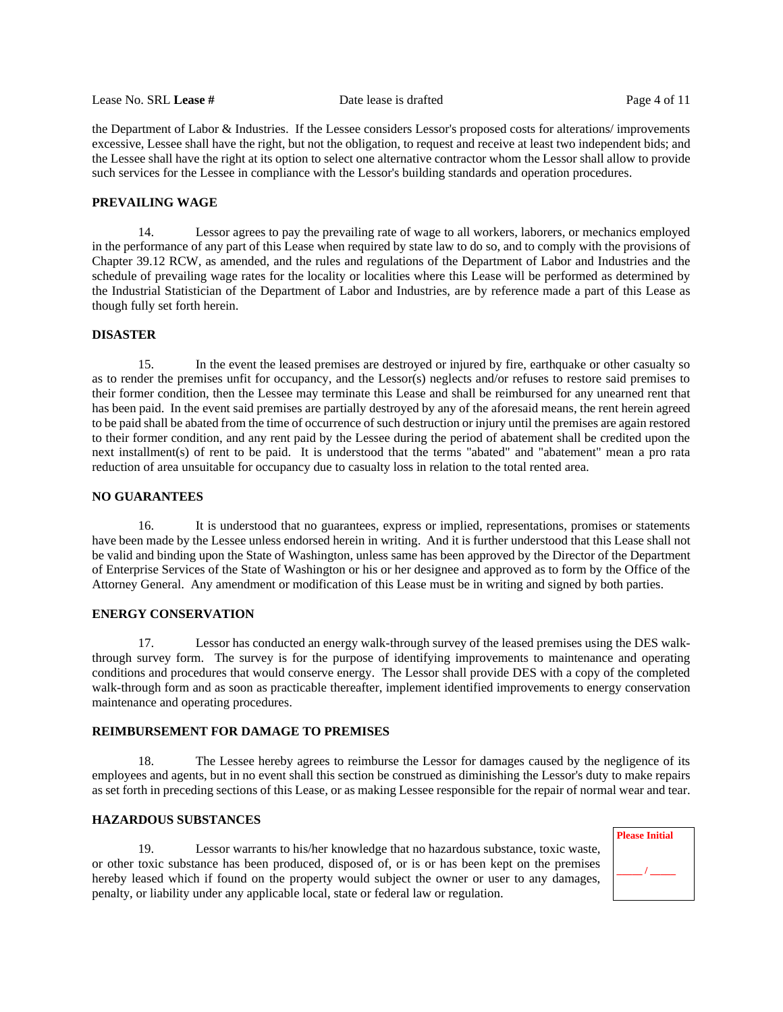Lease No. SRL **Lease #** Date lease is drafted Page 4 of 11

the Department of Labor & Industries. If the Lessee considers Lessor's proposed costs for alterations/ improvements excessive, Lessee shall have the right, but not the obligation, to request and receive at least two independent bids; and the Lessee shall have the right at its option to select one alternative contractor whom the Lessor shall allow to provide such services for the Lessee in compliance with the Lessor's building standards and operation procedures.

# **PREVAILING WAGE**

14. Lessor agrees to pay the prevailing rate of wage to all workers, laborers, or mechanics employed in the performance of any part of this Lease when required by state law to do so, and to comply with the provisions of Chapter 39.12 RCW, as amended, and the rules and regulations of the Department of Labor and Industries and the schedule of prevailing wage rates for the locality or localities where this Lease will be performed as determined by the Industrial Statistician of the Department of Labor and Industries, are by reference made a part of this Lease as though fully set forth herein.

# **DISASTER**

15. In the event the leased premises are destroyed or injured by fire, earthquake or other casualty so as to render the premises unfit for occupancy, and the Lessor(s) neglects and/or refuses to restore said premises to their former condition, then the Lessee may terminate this Lease and shall be reimbursed for any unearned rent that has been paid. In the event said premises are partially destroyed by any of the aforesaid means, the rent herein agreed to be paid shall be abated from the time of occurrence of such destruction or injury until the premises are again restored to their former condition, and any rent paid by the Lessee during the period of abatement shall be credited upon the next installment(s) of rent to be paid. It is understood that the terms "abated" and "abatement" mean a pro rata reduction of area unsuitable for occupancy due to casualty loss in relation to the total rented area.

# **NO GUARANTEES**

16. It is understood that no guarantees, express or implied, representations, promises or statements have been made by the Lessee unless endorsed herein in writing. And it is further understood that this Lease shall not be valid and binding upon the State of Washington, unless same has been approved by the Director of the Department of Enterprise Services of the State of Washington or his or her designee and approved as to form by the Office of the Attorney General. Any amendment or modification of this Lease must be in writing and signed by both parties.

# **ENERGY CONSERVATION**

17. Lessor has conducted an energy walk-through survey of the leased premises using the DES walkthrough survey form. The survey is for the purpose of identifying improvements to maintenance and operating conditions and procedures that would conserve energy. The Lessor shall provide DES with a copy of the completed walk-through form and as soon as practicable thereafter, implement identified improvements to energy conservation maintenance and operating procedures.

# **REIMBURSEMENT FOR DAMAGE TO PREMISES**

18. The Lessee hereby agrees to reimburse the Lessor for damages caused by the negligence of its employees and agents, but in no event shall this section be construed as diminishing the Lessor's duty to make repairs as set forth in preceding sections of this Lease, or as making Lessee responsible for the repair of normal wear and tear.

# **HAZARDOUS SUBSTANCES**

19. Lessor warrants to his/her knowledge that no hazardous substance, toxic waste, or other toxic substance has been produced, disposed of, or is or has been kept on the premises hereby leased which if found on the property would subject the owner or user to any damages, penalty, or liability under any applicable local, state or federal law or regulation.

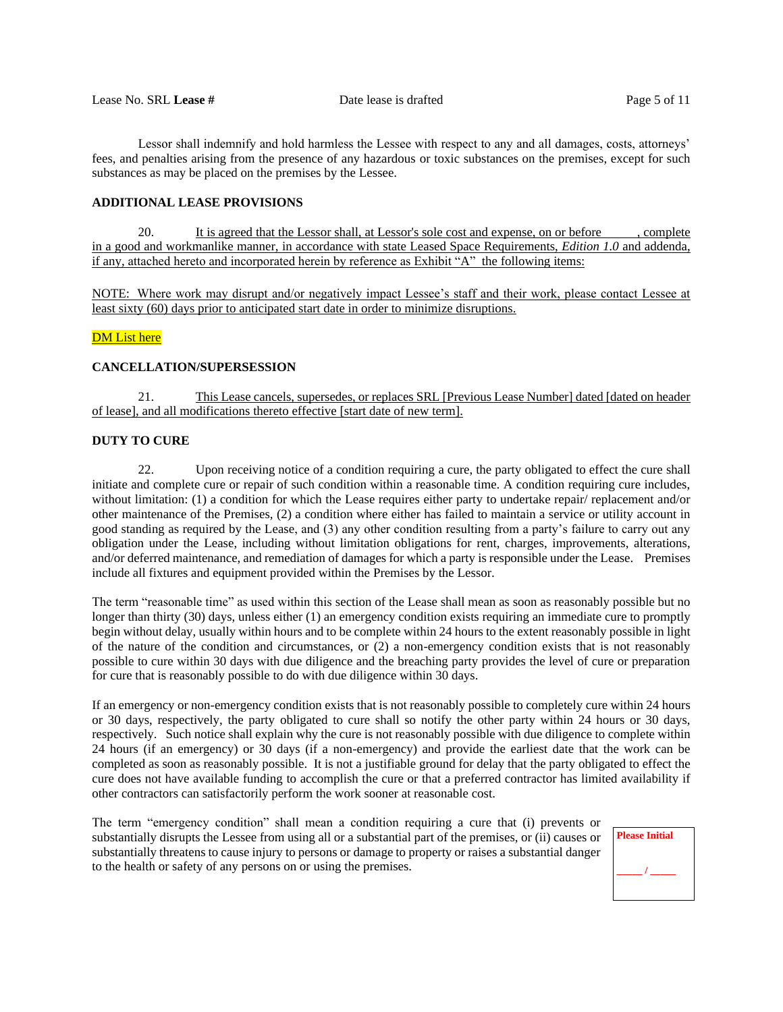Lessor shall indemnify and hold harmless the Lessee with respect to any and all damages, costs, attorneys' fees, and penalties arising from the presence of any hazardous or toxic substances on the premises, except for such substances as may be placed on the premises by the Lessee.

# **ADDITIONAL LEASE PROVISIONS**

20. It is agreed that the Lessor shall, at Lessor's sole cost and expense, on or before , complete in a good and workmanlike manner, in accordance with state Leased Space Requirements, *Edition 1.0* and addenda, if any, attached hereto and incorporated herein by reference as Exhibit "A"the following items:

NOTE: Where work may disrupt and/or negatively impact Lessee's staff and their work, please contact Lessee at least sixty (60) days prior to anticipated start date in order to minimize disruptions.

# **DM** List here

# **CANCELLATION/SUPERSESSION**

21. This Lease cancels, supersedes, or replaces SRL [Previous Lease Number] dated [dated on header of lease], and all modifications thereto effective [start date of new term].

# **DUTY TO CURE**

22. Upon receiving notice of a condition requiring a cure, the party obligated to effect the cure shall initiate and complete cure or repair of such condition within a reasonable time. A condition requiring cure includes, without limitation: (1) a condition for which the Lease requires either party to undertake repair/ replacement and/or other maintenance of the Premises, (2) a condition where either has failed to maintain a service or utility account in good standing as required by the Lease, and (3) any other condition resulting from a party's failure to carry out any obligation under the Lease, including without limitation obligations for rent, charges, improvements, alterations, and/or deferred maintenance, and remediation of damages for which a party is responsible under the Lease. Premises include all fixtures and equipment provided within the Premises by the Lessor.

The term "reasonable time" as used within this section of the Lease shall mean as soon as reasonably possible but no longer than thirty (30) days, unless either (1) an emergency condition exists requiring an immediate cure to promptly begin without delay, usually within hours and to be complete within 24 hours to the extent reasonably possible in light of the nature of the condition and circumstances, or (2) a non-emergency condition exists that is not reasonably possible to cure within 30 days with due diligence and the breaching party provides the level of cure or preparation for cure that is reasonably possible to do with due diligence within 30 days.

If an emergency or non-emergency condition exists that is not reasonably possible to completely cure within 24 hours or 30 days, respectively, the party obligated to cure shall so notify the other party within 24 hours or 30 days, respectively. Such notice shall explain why the cure is not reasonably possible with due diligence to complete within 24 hours (if an emergency) or 30 days (if a non-emergency) and provide the earliest date that the work can be completed as soon as reasonably possible. It is not a justifiable ground for delay that the party obligated to effect the cure does not have available funding to accomplish the cure or that a preferred contractor has limited availability if other contractors can satisfactorily perform the work sooner at reasonable cost.

The term "emergency condition" shall mean a condition requiring a cure that (i) prevents or substantially disrupts the Lessee from using all or a substantial part of the premises, or (ii) causes or substantially threatens to cause injury to persons or damage to property or raises a substantial danger to the health or safety of any persons on or using the premises.

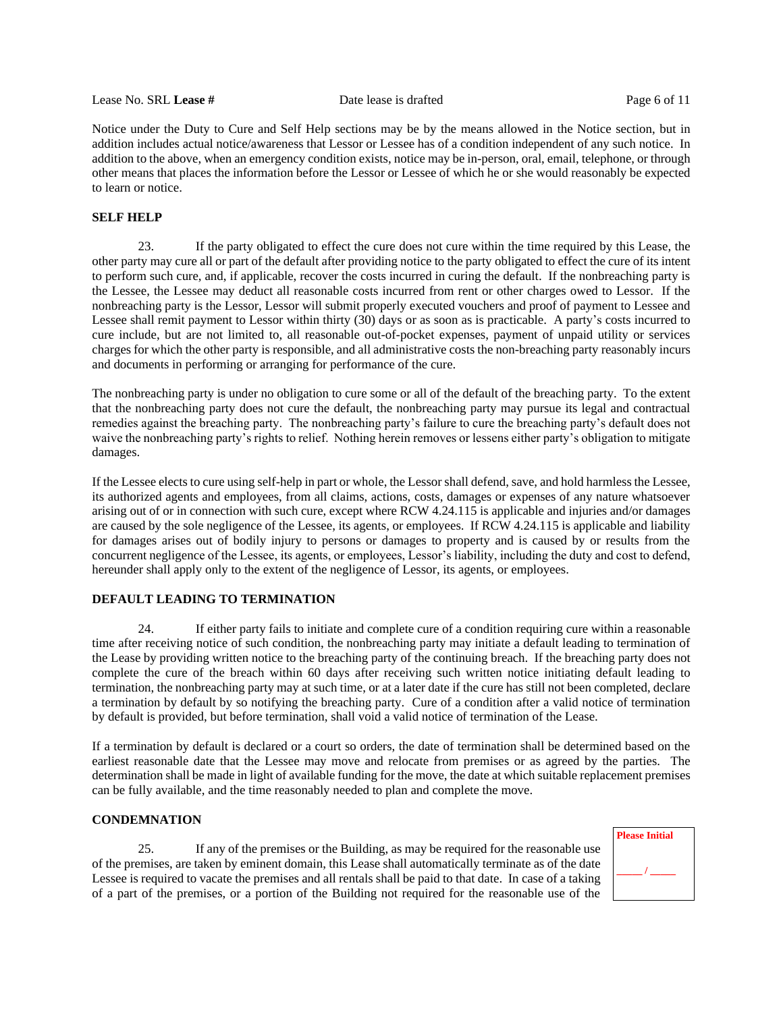Lease No. SRL **Lease #** Date lease is drafted Page 6 of 11

Notice under the Duty to Cure and Self Help sections may be by the means allowed in the Notice section, but in addition includes actual notice/awareness that Lessor or Lessee has of a condition independent of any such notice. In addition to the above, when an emergency condition exists, notice may be in-person, oral, email, telephone, or through other means that places the information before the Lessor or Lessee of which he or she would reasonably be expected to learn or notice.

# **SELF HELP**

23. If the party obligated to effect the cure does not cure within the time required by this Lease, the other party may cure all or part of the default after providing notice to the party obligated to effect the cure of its intent to perform such cure, and, if applicable, recover the costs incurred in curing the default. If the nonbreaching party is the Lessee, the Lessee may deduct all reasonable costs incurred from rent or other charges owed to Lessor. If the nonbreaching party is the Lessor, Lessor will submit properly executed vouchers and proof of payment to Lessee and Lessee shall remit payment to Lessor within thirty (30) days or as soon as is practicable. A party's costs incurred to cure include, but are not limited to, all reasonable out-of-pocket expenses, payment of unpaid utility or services charges for which the other party is responsible, and all administrative costs the non-breaching party reasonably incurs and documents in performing or arranging for performance of the cure.

The nonbreaching party is under no obligation to cure some or all of the default of the breaching party. To the extent that the nonbreaching party does not cure the default, the nonbreaching party may pursue its legal and contractual remedies against the breaching party. The nonbreaching party's failure to cure the breaching party's default does not waive the nonbreaching party's rights to relief. Nothing herein removes or lessens either party's obligation to mitigate damages.

If the Lessee elects to cure using self-help in part or whole, the Lessor shall defend, save, and hold harmless the Lessee, its authorized agents and employees, from all claims, actions, costs, damages or expenses of any nature whatsoever arising out of or in connection with such cure, except where RCW 4.24.115 is applicable and injuries and/or damages are caused by the sole negligence of the Lessee, its agents, or employees. If RCW 4.24.115 is applicable and liability for damages arises out of bodily injury to persons or damages to property and is caused by or results from the concurrent negligence of the Lessee, its agents, or employees, Lessor's liability, including the duty and cost to defend, hereunder shall apply only to the extent of the negligence of Lessor, its agents, or employees.

# **DEFAULT LEADING TO TERMINATION**

24. If either party fails to initiate and complete cure of a condition requiring cure within a reasonable time after receiving notice of such condition, the nonbreaching party may initiate a default leading to termination of the Lease by providing written notice to the breaching party of the continuing breach. If the breaching party does not complete the cure of the breach within 60 days after receiving such written notice initiating default leading to termination, the nonbreaching party may at such time, or at a later date if the cure has still not been completed, declare a termination by default by so notifying the breaching party. Cure of a condition after a valid notice of termination by default is provided, but before termination, shall void a valid notice of termination of the Lease.

If a termination by default is declared or a court so orders, the date of termination shall be determined based on the earliest reasonable date that the Lessee may move and relocate from premises or as agreed by the parties. The determination shall be made in light of available funding for the move, the date at which suitable replacement premises can be fully available, and the time reasonably needed to plan and complete the move.

# **CONDEMNATION**

25. If any of the premises or the Building, as may be required for the reasonable use of the premises, are taken by eminent domain, this Lease shall automatically terminate as of the date Lessee is required to vacate the premises and all rentals shall be paid to that date. In case of a taking of a part of the premises, or a portion of the Building not required for the reasonable use of the

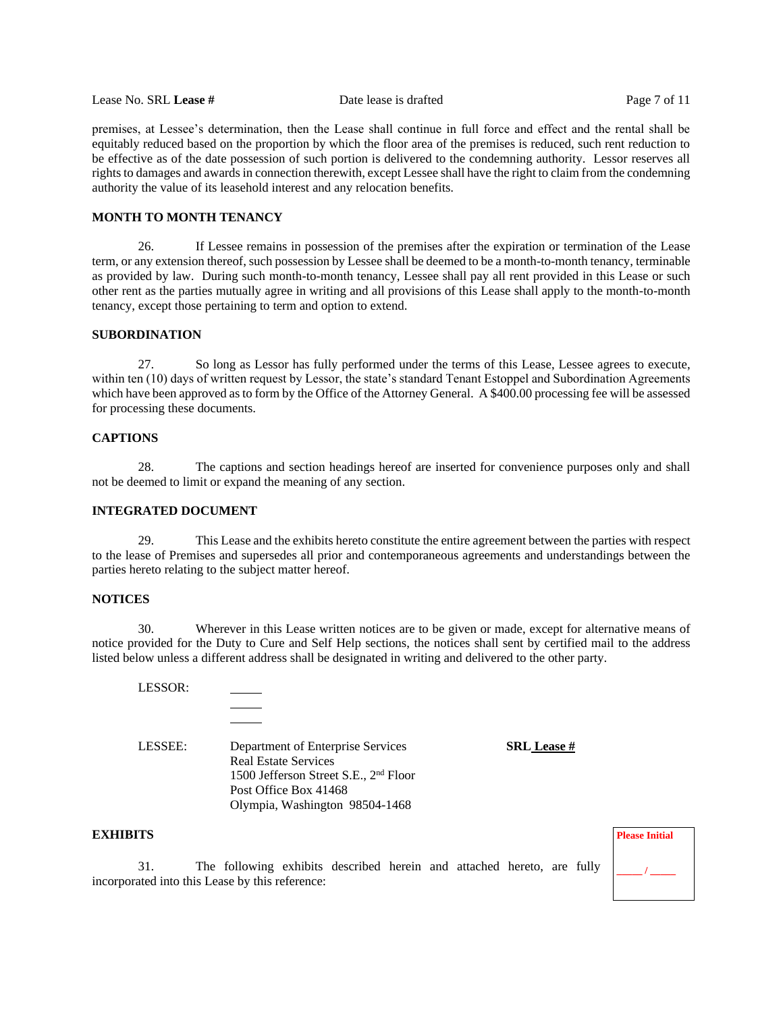Lease No. SRL **Lease #** Date lease is drafted Page 7 of 11

premises, at Lessee's determination, then the Lease shall continue in full force and effect and the rental shall be equitably reduced based on the proportion by which the floor area of the premises is reduced, such rent reduction to be effective as of the date possession of such portion is delivered to the condemning authority. Lessor reserves all rights to damages and awards in connection therewith, except Lessee shall have the right to claim from the condemning authority the value of its leasehold interest and any relocation benefits.

#### **MONTH TO MONTH TENANCY**

26. If Lessee remains in possession of the premises after the expiration or termination of the Lease term, or any extension thereof, such possession by Lessee shall be deemed to be a month-to-month tenancy, terminable as provided by law. During such month-to-month tenancy, Lessee shall pay all rent provided in this Lease or such other rent as the parties mutually agree in writing and all provisions of this Lease shall apply to the month-to-month tenancy, except those pertaining to term and option to extend.

# **SUBORDINATION**

27. So long as Lessor has fully performed under the terms of this Lease, Lessee agrees to execute, within ten (10) days of written request by Lessor, the state's standard Tenant Estoppel and Subordination Agreements which have been approved as to form by the Office of the Attorney General. A \$400.00 processing fee will be assessed for processing these documents.

# **CAPTIONS**

28. The captions and section headings hereof are inserted for convenience purposes only and shall not be deemed to limit or expand the meaning of any section.

# **INTEGRATED DOCUMENT**

29. This Lease and the exhibits hereto constitute the entire agreement between the parties with respect to the lease of Premises and supersedes all prior and contemporaneous agreements and understandings between the parties hereto relating to the subject matter hereof.

#### **NOTICES**

30. Wherever in this Lease written notices are to be given or made, except for alternative means of notice provided for the Duty to Cure and Self Help sections, the notices shall sent by certified mail to the address listed below unless a different address shall be designated in writing and delivered to the other party.

LESSOR:

LESSEE: Department of Enterprise Services **SRL Lease #** Real Estate Services 1500 Jefferson Street S.E., 2nd Floor Post Office Box 41468 Olympia, Washington 98504-1468

#### **EXHIBITS**

31. The following exhibits described herein and attached hereto, are fully incorporated into this Lease by this reference:

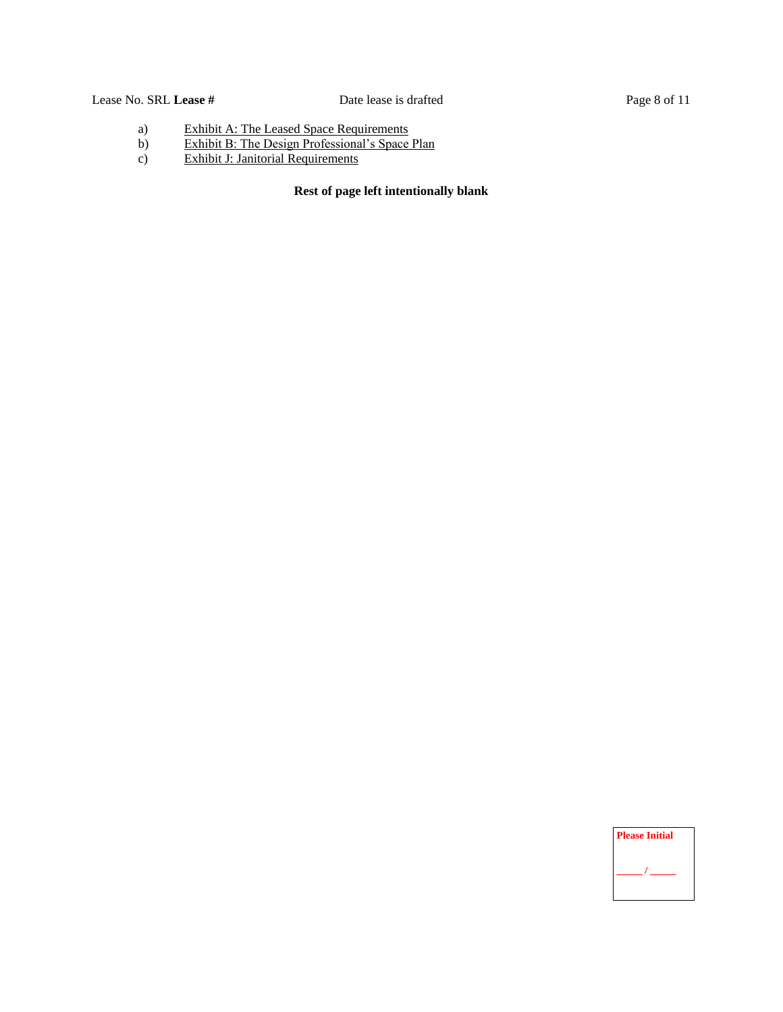# Lease No. SRL **Lease** # Date lease is drafted Page 8 of 11

- a) Exhibit A: The Leased Space Requirements
- b) Exhibit B: The Design Professional's Space Plan
- c) Exhibit J: Janitorial Requirements

# **Rest of page left intentionally blank**

**Please Initial**  $\prime$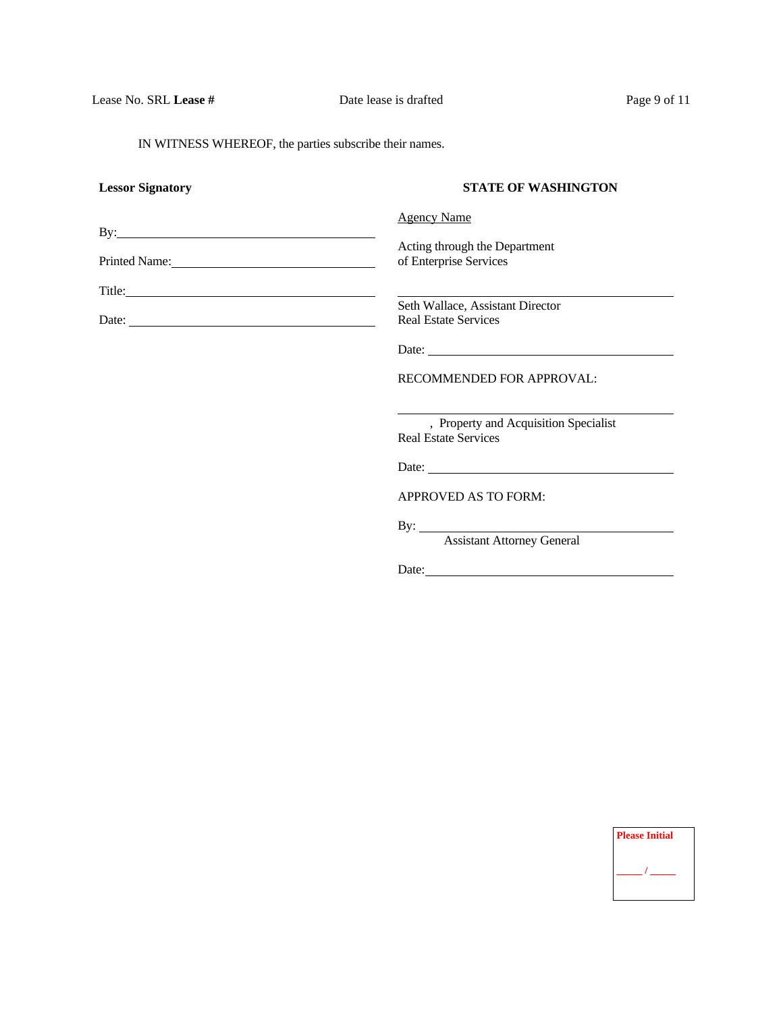IN WITNESS WHEREOF, the parties subscribe their names.

| <b>Lessor Signatory</b> | <b>STATE OF WASHINGTON</b>                                           |
|-------------------------|----------------------------------------------------------------------|
|                         | <b>Agency Name</b>                                                   |
|                         |                                                                      |
|                         | Acting through the Department<br>of Enterprise Services              |
| $\text{Title:}$         |                                                                      |
|                         | Seth Wallace, Assistant Director                                     |
| Date: $\frac{1}{2}$     | <b>Real Estate Services</b>                                          |
|                         |                                                                      |
|                         | <b>RECOMMENDED FOR APPROVAL:</b>                                     |
|                         | , Property and Acquisition Specialist<br><b>Real Estate Services</b> |
|                         | Date:                                                                |
|                         | APPROVED AS TO FORM:                                                 |
|                         | By: <u>Assistant Attorney General</u>                                |
|                         | Date:                                                                |

| <b>Please Initial</b> |
|-----------------------|
|                       |
|                       |
|                       |
|                       |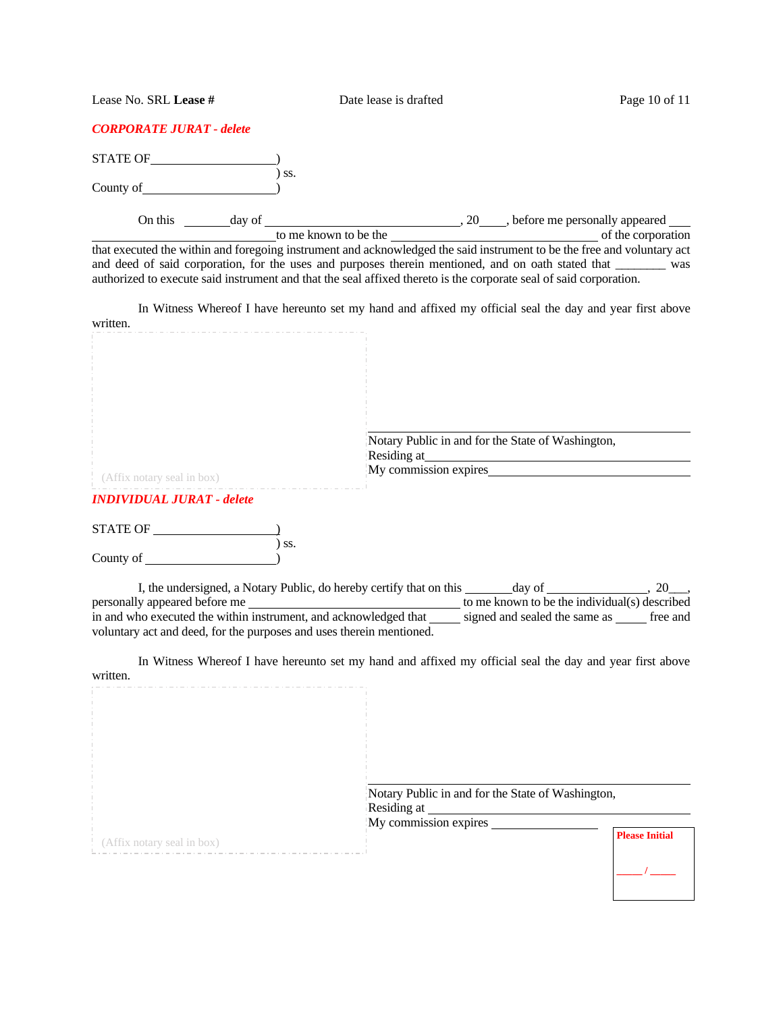Lease No. SRL **Lease #** Date lease is drafted Page 10 of 11

|  |  | <b>CORPORATE JURAT - delete</b> |
|--|--|---------------------------------|
|--|--|---------------------------------|

STATE OF <u>STATE</u> ) ss.

County of  $\overrightarrow{)}$ 

On this  $\frac{day}{dx}$  of  $\frac{20}{x}$ , before me personally appeared

to me known to be the service of the corporation that executed the within and foregoing instrument and acknowledged the said instrument to be the free and voluntary act and deed of said corporation, for the uses and purposes therein mentioned, and on oath stated that \_\_\_\_\_\_\_\_\_ was authorized to execute said instrument and that the seal affixed thereto is the corporate seal of said corporation.

In Witness Whereof I have hereunto set my hand and affixed my official seal the day and year first above written.

| (Affix notary seal in box)       | Notary Public in and for the State of Washington,<br>Residing at<br>My commission expires |
|----------------------------------|-------------------------------------------------------------------------------------------|
| <b>INDIVIDUAL JURAT - delete</b> |                                                                                           |
| <b>STATE OF</b>                  |                                                                                           |
| SS.<br>County of                 |                                                                                           |

I, the undersigned, a Notary Public, do hereby certify that on this \_\_\_\_\_\_\_\_\_\_\_\_\_ day of \_\_\_\_\_\_\_\_\_\_\_\_, 20\_\_\_, personally appeared before me to me known to be the individual(s) described in and who executed the within instrument, and acknowledged that signed and sealed the same as free and voluntary act and deed, for the purposes and uses therein mentioned.

In Witness Whereof I have hereunto set my hand and affixed my official seal the day and year first above written.

| Notary Public in and for the State of Washington,<br>Residing at<br>My commission expires<br><b>Please Initial</b><br>: (Affix notary seal in box) |  |  |
|----------------------------------------------------------------------------------------------------------------------------------------------------|--|--|
|                                                                                                                                                    |  |  |
|                                                                                                                                                    |  |  |
|                                                                                                                                                    |  |  |
|                                                                                                                                                    |  |  |
|                                                                                                                                                    |  |  |
|                                                                                                                                                    |  |  |
|                                                                                                                                                    |  |  |
|                                                                                                                                                    |  |  |
|                                                                                                                                                    |  |  |
|                                                                                                                                                    |  |  |
|                                                                                                                                                    |  |  |
|                                                                                                                                                    |  |  |
|                                                                                                                                                    |  |  |
|                                                                                                                                                    |  |  |
|                                                                                                                                                    |  |  |
|                                                                                                                                                    |  |  |
|                                                                                                                                                    |  |  |
|                                                                                                                                                    |  |  |
|                                                                                                                                                    |  |  |
|                                                                                                                                                    |  |  |
|                                                                                                                                                    |  |  |
|                                                                                                                                                    |  |  |
|                                                                                                                                                    |  |  |
|                                                                                                                                                    |  |  |
|                                                                                                                                                    |  |  |
|                                                                                                                                                    |  |  |
|                                                                                                                                                    |  |  |
|                                                                                                                                                    |  |  |
|                                                                                                                                                    |  |  |
|                                                                                                                                                    |  |  |
|                                                                                                                                                    |  |  |
|                                                                                                                                                    |  |  |
|                                                                                                                                                    |  |  |
|                                                                                                                                                    |  |  |
|                                                                                                                                                    |  |  |